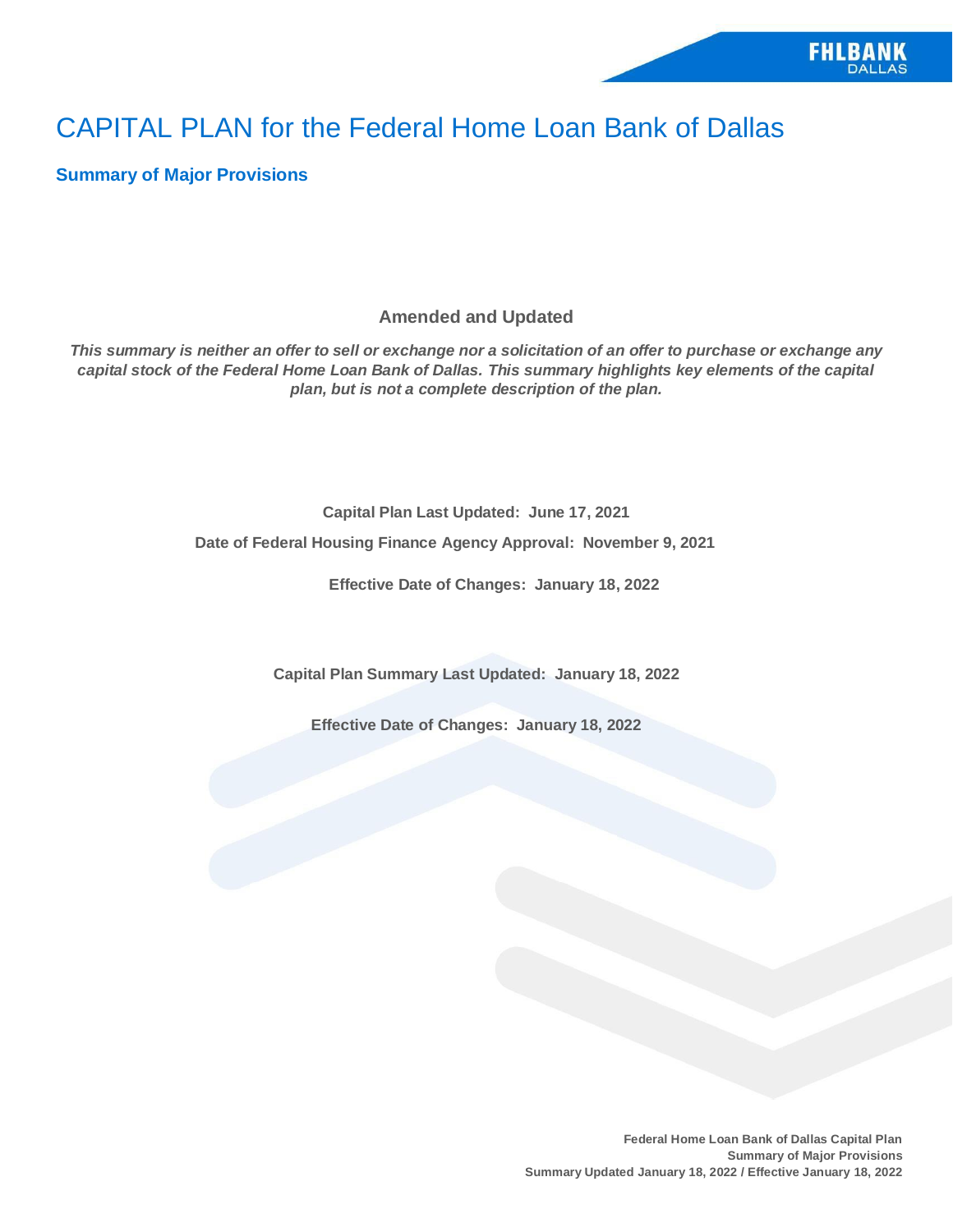# CAPITAL PLAN for the Federal Home Loan Bank of Dallas

**Summary of Major Provisions**

**Amended and Updated**

This summary is neither an offer to sell or exchange nor a solicitation of an offer to purchase or exchange any *capital stock of the Federal Home Loan Bank of Dallas. This summary highlights key elements of the capital plan, but is not a complete description of the plan.*

**Capital Plan Last Updated: June 17, 2021**

**Date of Federal Housing Finance Agency Approval: November 9, 2021**

**Effective Date of Changes: January 18, 2022**

**Capital Plan Summary Last Updated: January 18, 2022**

**Effective Date of Changes: January 18, 2022**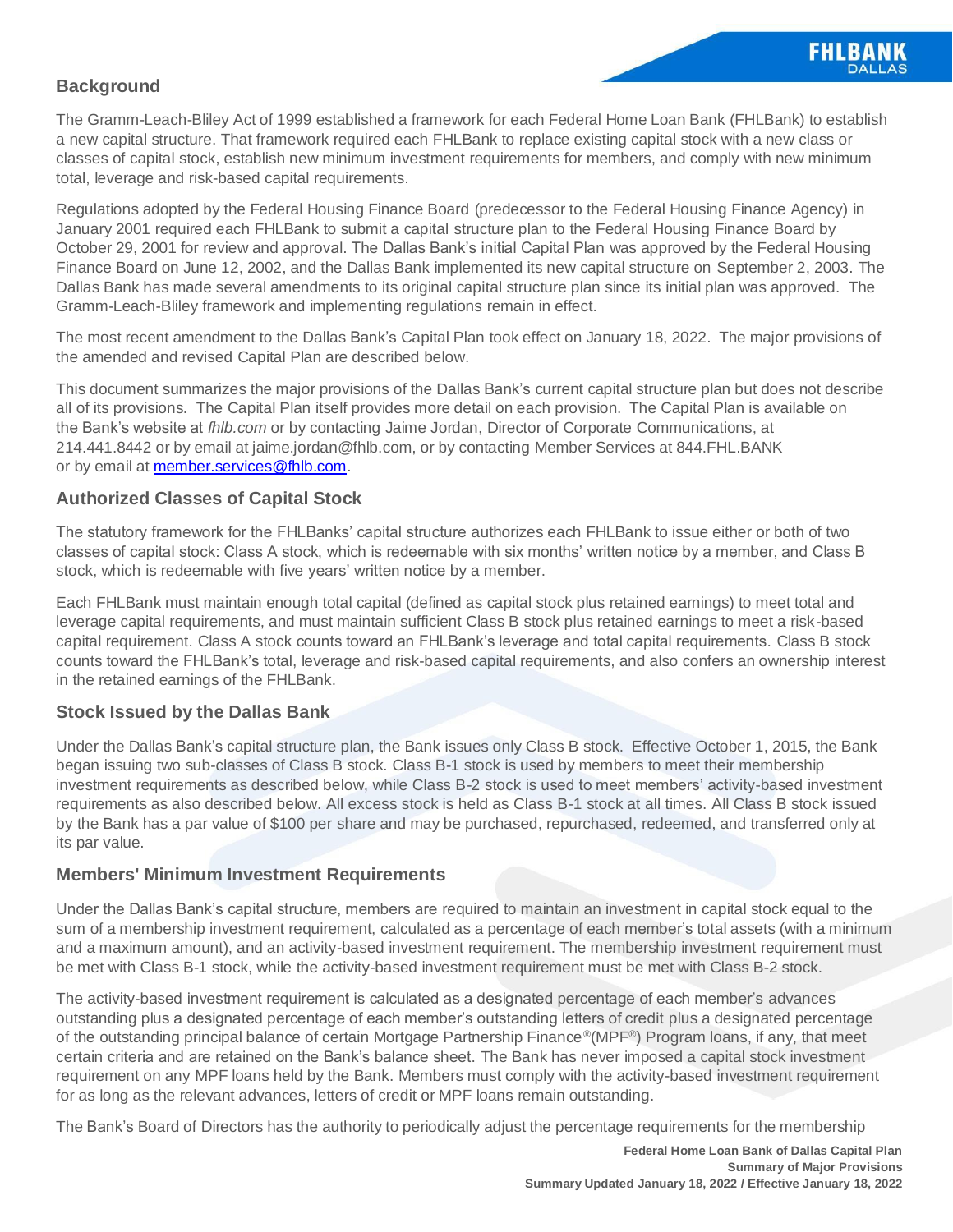## **Background**

The Gramm-Leach-Bliley Act of 1999 established a framework for each Federal Home Loan Bank (FHLBank) to establish a new capital structure. That framework required each FHLBank to replace existing capital stock with a new class or classes of capital stock, establish new minimum investment requirements for members, and comply with new minimum total, leverage and risk-based capital requirements.

Regulations adopted by the Federal Housing Finance Board (predecessor to the Federal Housing Finance Agency) in January 2001 required each FHLBank to submit a capital structure plan to the Federal Housing Finance Board by October 29, 2001 for review and approval. The Dallas Bank's initial Capital Plan was approved by the Federal Housing Finance Board on June 12, 2002, and the Dallas Bank implemented its new capital structure on September 2, 2003. The Dallas Bank has made several amendments to its original capital structure plan since its initial plan was approved. The Gramm-Leach-Bliley framework and implementing regulations remain in effect.

The most recent amendment to the Dallas Bank's Capital Plan took effect on January 18, 2022. The major provisions of the amended and revised Capital Plan are described below.

This document summarizes the major provisions of the Dallas Bank's current capital structure plan but does not describe all of its provisions. The Capital Plan itself provides more detail on each provision. The Capital Plan is available on the Bank's website at *fhlb.com* or by contacting Jaime Jordan, Director of Corporate Communications, at 214.441.8442 or by email at [jaime.jordan@fhlb.com,](mailto:jaime.jordan@fhlb.com) or by contacting Member Services at 844.FHL.BANK or by email at [member.services@fhlb.com.](mailto:member.services@fhlb.com)

## **Authorized Classes of Capital Stock**

The statutory framework for the FHLBanks' capital structure authorizes each FHLBank to issue either or both of two classes of capital stock: Class A stock, which is redeemable with six months' written notice by a member, and Class B stock, which is redeemable with five years' written notice by a member.

Each FHLBank must maintain enough total capital (defined as capital stock plus retained earnings) to meet total and leverage capital requirements, and must maintain sufficient Class B stock plus retained earnings to meet a risk-based capital requirement. Class A stock counts toward an FHLBank's leverage and total capital requirements. Class B stock counts toward the FHLBank's total, leverage and risk-based capital requirements, and also confers an ownership interest in the retained earnings of the FHLBank.

## **Stock Issued by the Dallas Bank**

Under the Dallas Bank's capital structure plan, the Bank issues only Class B stock. Effective October 1, 2015, the Bank began issuing two sub-classes of Class B stock. Class B-1 stock is used by members to meet their membership investment requirements as described below, while Class B-2 stock is used to meet members' activity-based investment requirements as also described below. All excess stock is held as Class B-1 stock at all times. All Class B stock issued by the Bank has a par value of \$100 per share and may be purchased, repurchased, redeemed, and transferred only at its par value.

## **Members' Minimum Investment Requirements**

Under the Dallas Bank's capital structure, members are required to maintain an investment in capital stock equal to the sum of a membership investment requirement, calculated as a percentage of each member's total assets (with a minimum and a maximum amount), and an activity-based investment requirement. The membership investment requirement must be met with Class B-1 stock, while the activity-based investment requirement must be met with Class B-2 stock.

The activity-based investment requirement is calculated as a designated percentage of each member's advances outstanding plus a designated percentage of each member's outstanding letters of credit plus a designated percentage of the outstanding principal balance of certain Mortgage Partnership Finance®(MPF®) Program loans, if any, that meet certain criteria and are retained on the Bank's balance sheet. The Bank has never imposed a capital stock investment requirement on any MPF loans held by the Bank. Members must comply with the activity-based investment requirement for as long as the relevant advances, letters of credit or MPF loans remain outstanding.

The Bank's Board of Directors has the authority to periodically adjust the percentage requirements for the membership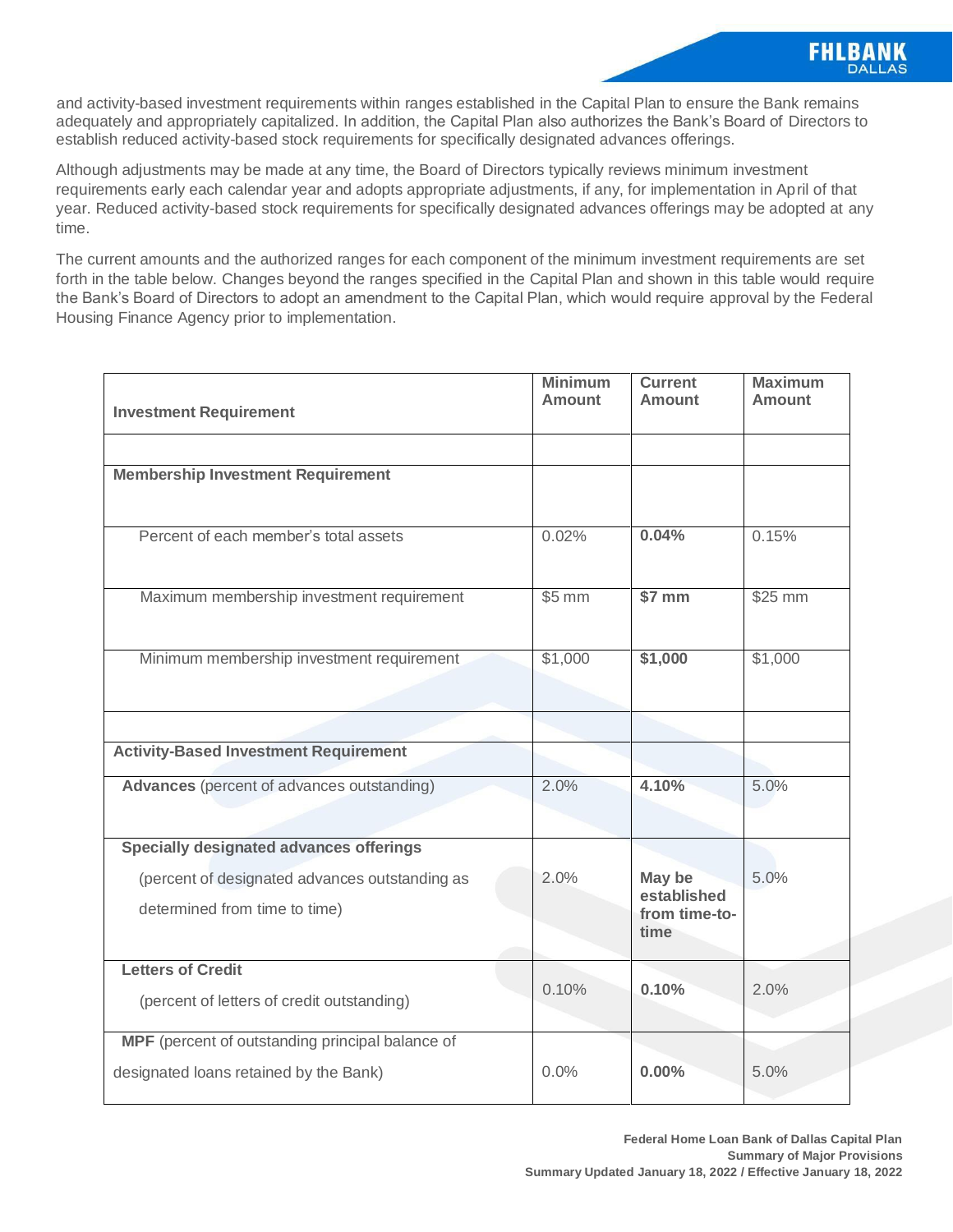and activity-based investment requirements within ranges established in the Capital Plan to ensure the Bank remains adequately and appropriately capitalized. In addition, the Capital Plan also authorizes the Bank's Board of Directors to establish reduced activity-based stock requirements for specifically designated advances offerings.

Although adjustments may be made at any time, the Board of Directors typically reviews minimum investment requirements early each calendar year and adopts appropriate adjustments, if any, for implementation in April of that year. Reduced activity-based stock requirements for specifically designated advances offerings may be adopted at any time.

The current amounts and the authorized ranges for each component of the minimum investment requirements are set forth in the table below. Changes beyond the ranges specified in the Capital Plan and shown in this table would require the Bank's Board of Directors to adopt an amendment to the Capital Plan, which would require approval by the Federal Housing Finance Agency prior to implementation.

| <b>Investment Requirement</b>                                                   | <b>Minimum</b><br><b>Amount</b> | <b>Current</b><br>Amount                       | <b>Maximum</b><br>Amount |
|---------------------------------------------------------------------------------|---------------------------------|------------------------------------------------|--------------------------|
|                                                                                 |                                 |                                                |                          |
| <b>Membership Investment Requirement</b>                                        |                                 |                                                |                          |
| Percent of each member's total assets                                           | 0.02%                           | 0.04%                                          | 0.15%                    |
| Maximum membership investment requirement                                       | \$5 mm                          | \$7 mm                                         | \$25 mm                  |
| Minimum membership investment requirement                                       | \$1,000                         | \$1,000                                        | \$1,000                  |
|                                                                                 |                                 |                                                |                          |
| <b>Activity-Based Investment Requirement</b>                                    |                                 |                                                |                          |
| Advances (percent of advances outstanding)                                      | 2.0%                            | 4.10%                                          | 5.0%                     |
| Specially designated advances offerings                                         |                                 |                                                |                          |
| (percent of designated advances outstanding as<br>determined from time to time) | 2.0%                            | May be<br>established<br>from time-to-<br>time | 5.0%                     |
| <b>Letters of Credit</b>                                                        |                                 |                                                |                          |
| (percent of letters of credit outstanding)                                      | 0.10%                           | 0.10%                                          | 2.0%                     |
| MPF (percent of outstanding principal balance of                                |                                 |                                                |                          |
| designated loans retained by the Bank)                                          | 0.0%                            | $0.00\%$                                       | 5.0%                     |